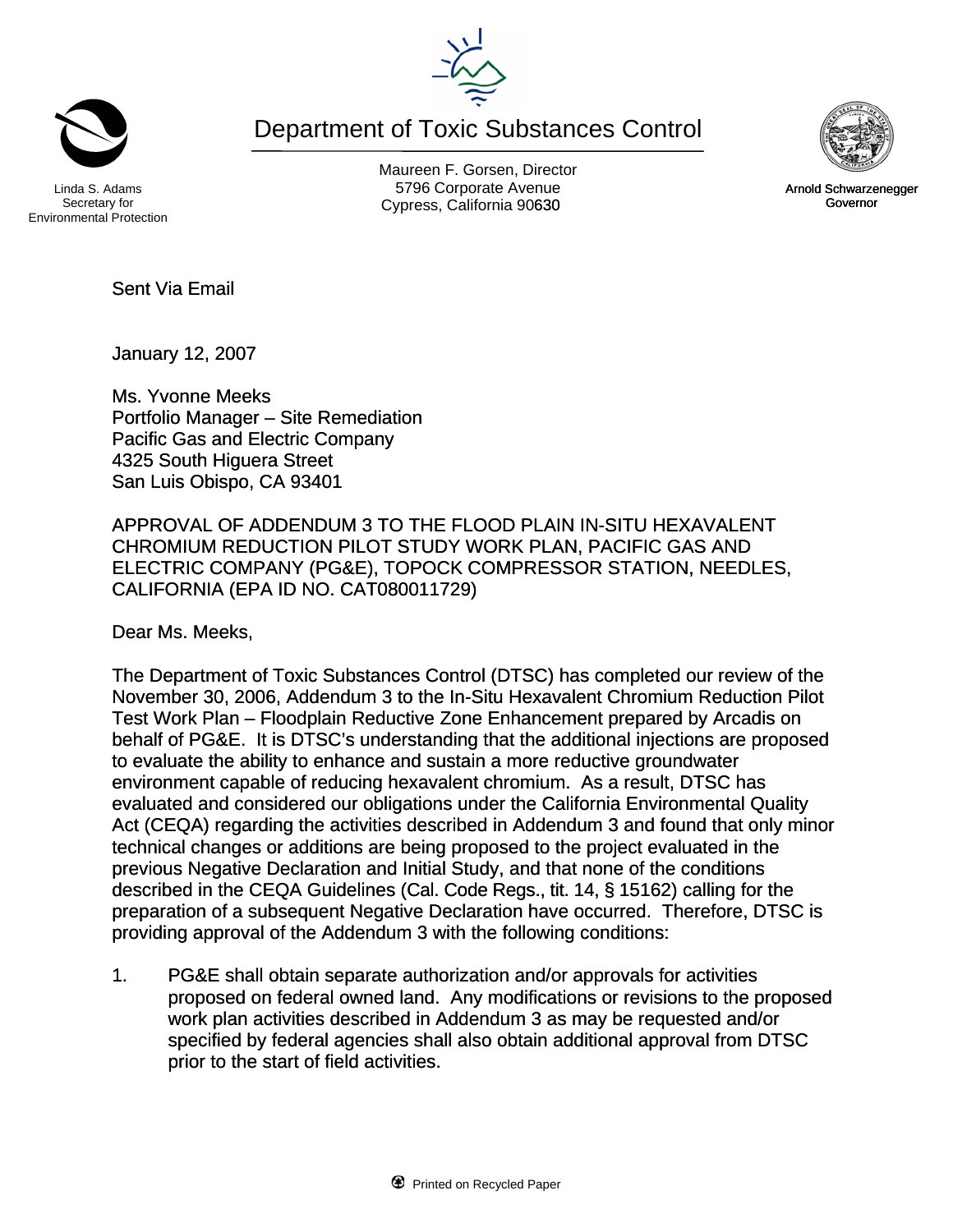Department of Toxic Substances Control



Secretary for Environmental Protection

Maureen F. Gorsen, Director Linda S. Adams **Example 20 Constructs** S796 Corporate Avenu Cypress, California 90630 **Canadian Cypress**, California 90630



January 12, 2007

Ms. Yvonne Meeks Portfolio Manager – Site Remediation Pacific Gas and Electric Company 4325 South Higuera Street San Luis Obispo, CA 93401

APPROVAL OF ADDENDUM 3 TO THE FLOOD PLAIN IN-SITU HEXAVALENT CHROMIUM REDUCTION PILOT STUDY WORK PLAN, PACIFIC GAS AND ELECTRIC COMPANY (PG&E), TOPOCK COMPRESSOR STATION, NEEDLES, CALIFORNIA (EPA ID NO. CAT080011729)

Dear Ms. Meeks,

The Department of Toxic Substances Control (DTSC) has completed our review of the November 30, 2006, Addendum 3 to the In-Situ Hexavalent Chromium Reduction Pilot Test Work Plan – Floodplain Reductive Zone Enhancement prepared by Arcadis on behalf of PG&E. It is DTSC's understanding that the additional injections are proposed to evaluate the ability to enhance and sustain a more reductive groundwater environment capable of reducing hexavalent chromium. As a result, DTSC has evaluated and considered our obligations under the California Environmental Quality Act (CEQA) regarding the activities described in Addendum 3 and found that only minor technical changes or additions are being proposed to the project evaluated in the previous Negative Declaration and Initial Study, and that none of the conditions described in the CEQA Guidelines (Cal. Code Regs., tit. 14, § 15162) calling for the preparation of a subsequent Negative Declaration have occurred. Therefore, DTSC is providing approval of the Addendum 3 with the following conditions:

1. PG&E shall obtain separate authorization and/or approvals for activities proposed on federal owned land. Any modifications or revisions to the proposed work plan activities described in Addendum 3 as may be requested and/or specified by federal agencies shall also obtain additional approval from DTSC prior to the start of field activities.



Arnold Schwarzenegger Governor